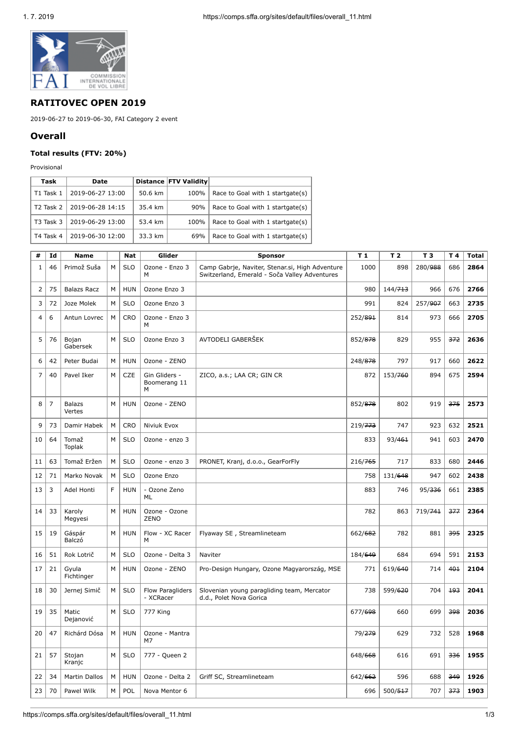

## **RATITOVEC OPEN 2019**

2019-06-27 to 2019-06-30, FAI Category 2 event

## **Overall**

## **Total results (FTV: 20%)**

Provisional

| Task                  | <b>Date</b>      |         | Distance   FTV Validity |                                  |
|-----------------------|------------------|---------|-------------------------|----------------------------------|
| T1 Task 1             | 2019-06-27 13:00 | 50.6 km | 100%                    | Race to Goal with 1 startgate(s) |
| T <sub>2</sub> Task 2 | 2019-06-28 14:15 | 35.4 km | 90%                     | Race to Goal with 1 startgate(s) |
| T3 Task 3             | 2019-06-29 13:00 | 53.4 km | 100%                    | Race to Goal with 1 startgate(s) |
| T4 Task 4             | 2019-06-30 12:00 | 33.3 km | 69%                     | Race to Goal with 1 startgate(s) |

| #              | Id             | <b>Name</b>             |   | <b>Nat</b> | Glider                             | <b>Sponsor</b>                                                                                   | T <sub>1</sub>     | T <sub>2</sub> | T <sub>3</sub> | T <sub>4</sub> | <b>Total</b> |
|----------------|----------------|-------------------------|---|------------|------------------------------------|--------------------------------------------------------------------------------------------------|--------------------|----------------|----------------|----------------|--------------|
| $\mathbf{1}$   | 46             | Primož Suša             | M | <b>SLO</b> | Ozone - Enzo 3<br>м                | Camp Gabrje, Naviter, Stenar.si, High Adventure<br>Switzerland, Emerald - Soča Valley Adventures | 1000               | 898            | 280/988        | 686            | 2864         |
| $\overline{2}$ | 75             | <b>Balazs Racz</b>      | М | <b>HUN</b> | Ozone Enzo 3                       |                                                                                                  | 980                | 144/713        | 966            | 676            | 2766         |
| 3              | 72             | Joze Molek              | М | <b>SLO</b> | Ozone Enzo 3                       |                                                                                                  | 991                | 824            | 257/907        | 663            | 2735         |
| 4              | 6              | Antun Lovrec            | M | <b>CRO</b> | Ozone - Enzo 3<br>м                |                                                                                                  | 252/891            | 814            | 973            | 666            | 2705         |
| 5              | 76             | Bojan<br>Gabersek       | M | <b>SLO</b> | Ozone Enzo 3                       | AVTODELI GABERŠEK                                                                                | 852/878            | 829            | 955            | 372            | 2636         |
| 6              | 42             | Peter Budai             | М | <b>HUN</b> | Ozone - ZENO                       |                                                                                                  | 248/878            | 797            | 917            | 660            | 2622         |
| 7              | 40             | Pavel Iker              | M | <b>CZE</b> | Gin Gliders -<br>Boomerang 11<br>м | ZICO, a.s.; LAA CR; GIN CR                                                                       | 872                | 153/760        | 894            | 675            | 2594         |
| 8              | $\overline{7}$ | <b>Balazs</b><br>Vertes | М | <b>HUN</b> | Ozone - ZENO                       |                                                                                                  | 852/878            | 802            | 919            | 375            | 2573         |
| 9              | 73             | Damir Habek             | M | <b>CRO</b> | Niviuk Evox                        |                                                                                                  | 219/773            | 747            | 923            | 632            | 2521         |
| 10             | 64             | Tomaž<br>Toplak         | М | <b>SLO</b> | Ozone - enzo 3                     |                                                                                                  | 833                | 93/461         | 941            | 603            | 2470         |
| 11             | 63             | Tomaž Eržen             | M | <b>SLO</b> | Ozone - enzo 3                     | PRONET, Kranj, d.o.o., GearForFly                                                                | 216/765            | 717            | 833            | 680            | 2446         |
| 12             | 71             | Marko Novak             | М | <b>SLO</b> | Ozone Enzo                         |                                                                                                  | 758                | 131/648        | 947            | 602            | 2438         |
| 13             | 3              | Adel Honti              | F | <b>HUN</b> | - Ozone Zeno<br>ML                 |                                                                                                  | 883                | 746            | 95/336         | 661            | 2385         |
| 14             | 33             | Karoly<br>Megyesi       | М | <b>HUN</b> | Ozone - Ozone<br>ZENO              |                                                                                                  | 782                | 863            | 719/741        | 377            | 2364         |
| 15             | 19             | Gáspár<br>Balczó        | M | <b>HUN</b> | Flow - XC Racer<br>м               | Flyaway SE, Streamlineteam                                                                       | 662/682            | 782            | 881            | 395            | 2325         |
| 16             | 51             | Rok Lotrič              | М | <b>SLO</b> | Ozone - Delta 3                    | Naviter                                                                                          | 184/649            | 684            | 694            | 591            | 2153         |
| 17             | 21             | Gyula<br>Fichtinger     | М | <b>HUN</b> | Ozone - ZENO                       | Pro-Design Hungary, Ozone Magyarország, MSE                                                      | 771                | 619/640        | 714            | 401            | 2104         |
| 18             | 30             | Jernej Simič            | М | <b>SLO</b> | Flow Paragliders<br>- XCRacer      | Slovenian young paragliding team, Mercator<br>d.d., Polet Nova Gorica                            | 738                | 599/620        | 704            | 193            | 2041         |
| 19             | 35             | Matic<br>Dejanović      | М | <b>SLO</b> | 777 King                           |                                                                                                  | 677/698            | 660            | 699            | 398            | 2036         |
| 20             | 47             | Richárd Dósa            | M | <b>HUN</b> | Ozone - Mantra<br>M7               |                                                                                                  | 79/ <del>279</del> | 629            | 732            | 528            | 1968         |
| 21             | 57             | Stojan<br>Kranjc        | М | <b>SLO</b> | 777 - Queen 2                      |                                                                                                  | 648/668            | 616            | 691            | 336            | 1955         |
| 22             | 34             | <b>Martin Dallos</b>    | М | <b>HUN</b> | Ozone - Delta 2                    | Griff SC, Streamlineteam                                                                         | 642/662            | 596            | 688            | 349            | 1926         |
| 23             | 70             | Pawel Wilk              | M | POL        | Nova Mentor 6                      |                                                                                                  | 696                | 500/517        | 707            | 373            | 1903         |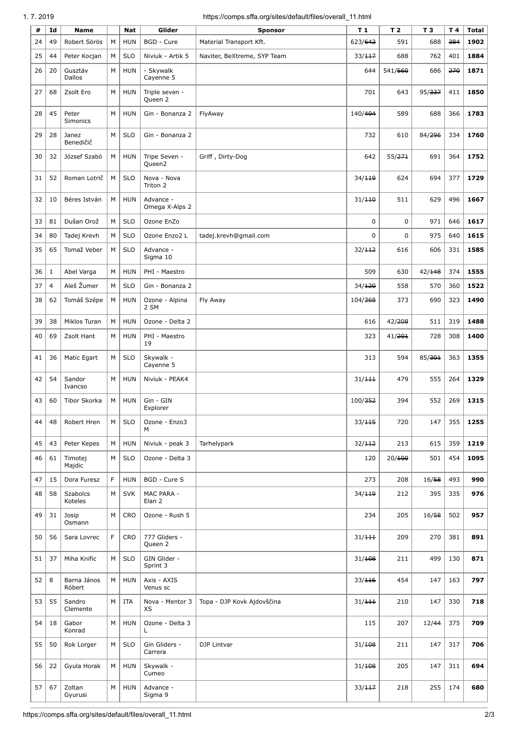| #  | Id             | <b>Name</b>                |   | Nat        | Glider                      | <b>Sponsor</b>              | T 1     | T <sub>2</sub> | T <sub>3</sub>     | T 4 | <b>Total</b> |
|----|----------------|----------------------------|---|------------|-----------------------------|-----------------------------|---------|----------------|--------------------|-----|--------------|
| 24 | 49             | Robert Sörös               | M | <b>HUN</b> | BGD - Cure                  | Material Transport Kft.     | 623/642 | 591            | 688                | 384 | 1902         |
| 25 | 44             | Peter Kocjan               | M | <b>SLO</b> | Niviuk - Artik 5            | Naviter, BeXtreme, SYP Team | 33/117  | 688            | 762                | 401 | 1884         |
| 26 | 20             | Gusztáv<br>Dallos          | M | <b>HUN</b> | - Skywalk<br>Cayenne 5      |                             | 644     | 541/560        | 686                | 270 | 1871         |
| 27 | 68             | Zsolt Ero                  | M | <b>HUN</b> | Triple seven -<br>Queen 2   |                             | 701     | 643            | 95/ <del>337</del> | 411 | 1850         |
| 28 | 45             | Peter<br>Simonics          | M | <b>HUN</b> | Gin - Bonanza 2             | FlyAway                     | 140/494 | 589            | 688                | 366 | 1783         |
| 29 | 28             | Janez<br>Benedičič         | M | <b>SLO</b> | Gin - Bonanza 2             |                             | 732     | 610            | 84/296             | 334 | 1760         |
| 30 | 32             | József Szabó               | M | <b>HUN</b> | Tripe Seven -<br>Queen2     | Griff, Dirty-Dog            | 642     | 55/271         | 691                | 364 | 1752         |
| 31 | 52             | Roman Lotrič               | M | <b>SLO</b> | Nova - Nova<br>Triton 2     |                             | 34/119  | 624            | 694                | 377 | 1729         |
| 32 | 10             | Béres István               | M | <b>HUN</b> | Advance -<br>Omega X-Alps 2 |                             | 31/110  | 511            | 629                | 496 | 1667         |
| 33 | 81             | Dušan Orož                 | M | <b>SLO</b> | Ozone EnZo                  |                             | 0       | 0              | 971                | 646 | 1617         |
| 34 | 80             | Tadej Krevh                | М | <b>SLO</b> | Ozone Enzo2 L               | tadej.krevh@gmail.com       | 0       | $\mathbf 0$    | 975                | 640 | 1615         |
| 35 | 65             | Tomaž Veber                | М | <b>SLO</b> | Advance -<br>Sigma 10       |                             | 32/112  | 616            | 606                | 331 | 1585         |
| 36 | 1              | Abel Varga                 | M | <b>HUN</b> | PHI - Maestro               |                             | 509     | 630            | 42/148             | 374 | 1555         |
| 37 | $\overline{4}$ | Aleš Žumer                 | M | <b>SLO</b> | Gin - Bonanza 2             |                             | 34/120  | 558            | 570                | 360 | 1522         |
| 38 | 62             | Tomáš Szépe                | M | <b>HUN</b> | Ozone - Alpina<br>2 SM      | Fly Away                    | 104/368 | 373            | 690                | 323 | 1490         |
| 39 | 38             | Miklos Turan               | M | <b>HUN</b> | Ozone - Delta 2             |                             | 616     | 42/208         | 511                | 319 | 1488         |
| 40 | 69             | Zsolt Hant                 | M | <b>HUN</b> | PHI - Maestro<br>19         |                             | 323     | 41/201         | 728                | 308 | 1400         |
| 41 | 36             | Matic Egart                | M | <b>SLO</b> | Skywalk -<br>Cayenne 5      |                             | 313     | 594            | 85/301             | 363 | 1355         |
| 42 | 54             | Sandor<br>Ivancso          | M | <b>HUN</b> | Niviuk - PEAK4              |                             | 31/111  | 479            | 555                | 264 | 1329         |
| 43 | 60             | Tibor Skorka               | М | <b>HUN</b> | Gin - GIN<br>Explorer       |                             | 100/352 | 394            | 552                | 269 | 1315         |
| 44 | 48             | Robert Hren                | М | <b>SLO</b> | Ozone - Enzo3<br>М          |                             | 33/115  | 720            | 147                | 355 | 1255         |
| 45 | 43             | Peter Kepes                | М | <b>HUN</b> | Niviuk - peak 3             | Tarhelypark                 | 32/112  | 213            | 615                | 359 | 1219         |
| 46 | 61             | Timotej<br>Majdic          | М | <b>SLO</b> | Ozone - Delta 3             |                             | 120     | 20/100         | 501                | 454 | 1095         |
| 47 | 15             | Dora Furesz                | F | <b>HUN</b> | BGD - Cure S                |                             | 273     | 208            | 16/58              | 493 | 990          |
| 48 | 58             | <b>Szabolcs</b><br>Koteles | М | <b>SVK</b> | MAC PARA -<br>Elan 2        |                             | 34/119  | 212            | 395                | 335 | 976          |
| 49 | 31             | Josip<br>Osmann            | М | CRO        | Ozone - Rush 5              |                             | 234     | 205            | 16/58              | 502 | 957          |
| 50 | 56             | Sara Lovrec                | F | CRO        | 777 Gliders -<br>Queen 2    |                             | 31/111  | 209            | 270                | 381 | 891          |
| 51 | 37             | Miha Knific                | М | <b>SLO</b> | GIN Glider -<br>Sprint 3    |                             | 31/108  | 211            | 499                | 130 | 871          |
| 52 | 8              | Barna János<br>Róbert      | М | <b>HUN</b> | Axis - AXIS<br>Venus sc     |                             | 33/116  | 454            | 147                | 163 | 797          |
| 53 | 55             | Sandro<br>Clemente         | M | ITA        | Nova - Mentor 3<br>ХS       | Topa - DJP Kovk Ajdovščina  | 31/111  | 210            | 147                | 330 | 718          |
| 54 | 18             | Gabor<br>Konrad            | M | <b>HUN</b> | Ozone - Delta 3<br>L        |                             | 115     | 207            | 12/44              | 375 | 709          |
| 55 | 50             | Rok Lorger                 | M | <b>SLO</b> | Gin Gliders -<br>Carrera    | DJP Lintvar                 | 31/108  | 211            | 147                | 317 | 706          |
| 56 | 22             | Gyula Horak                | М | <b>HUN</b> | Skywalk -<br>Cumeo          |                             | 31/108  | 205            | 147                | 311 | 694          |
| 57 | 67             | Zoltan<br>Gyurusi          | М | <b>HUN</b> | Advance -<br>Sigma 9        |                             | 33/117  | 218            | 255                | 174 | 680          |